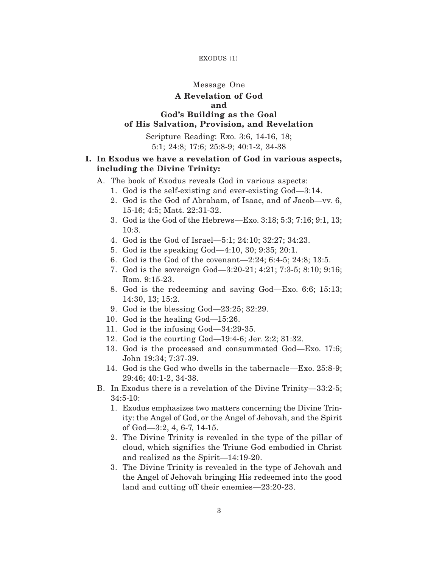### EXODUS (1)

## Message One

## **A Revelation of God and**

## **God's Building as the Goal of His Salvation, Provision, and Revelation**

Scripture Reading: Exo. 3:6, 14-16, 18; 5:1; 24:8; 17:6; 25:8-9; 40:1-2, 34-38

# **I. In Exodus we have a revelation of God in various aspects, including the Divine Trinity:**

- A. The book of Exodus reveals God in various aspects:
	- 1. God is the self-existing and ever-existing God—3:14.
	- 2. God is the God of Abraham, of Isaac, and of Jacob—vv. 6, 15-16; 4:5; Matt. 22:31-32.
	- 3. God is the God of the Hebrews—Exo. 3:18; 5:3; 7:16; 9:1, 13; 10:3.
	- 4. God is the God of Israel—5:1; 24:10; 32:27; 34:23.
	- 5. God is the speaking God—4:10, 30; 9:35; 20:1.
	- 6. God is the God of the covenant—2:24; 6:4-5; 24:8; 13:5.
	- 7. God is the sovereign God—3:20-21; 4:21; 7:3-5; 8:10; 9:16; Rom. 9:15-23.
	- 8. God is the redeeming and saving God—Exo. 6:6; 15:13; 14:30, 13; 15:2.
	- 9. God is the blessing God—23:25; 32:29.
	- 10. God is the healing God—15:26.
	- 11. God is the infusing God—34:29-35.
	- 12. God is the courting God—19:4-6; Jer. 2:2; 31:32.
	- 13. God is the processed and consummated God—Exo. 17:6; John 19:34; 7:37-39.
	- 14. God is the God who dwells in the tabernacle—Exo. 25:8-9; 29:46; 40:1-2, 34-38.
- B. In Exodus there is a revelation of the Divine Trinity—33:2-5; 34:5-10:
	- 1. Exodus emphasizes two matters concerning the Divine Trinity: the Angel of God, or the Angel of Jehovah, and the Spirit of God—3:2, 4, 6-7, 14-15.
	- 2. The Divine Trinity is revealed in the type of the pillar of cloud, which signifies the Triune God embodied in Christ and realized as the Spirit—14:19-20.
	- 3. The Divine Trinity is revealed in the type of Jehovah and the Angel of Jehovah bringing His redeemed into the good land and cutting off their enemies—23:20-23.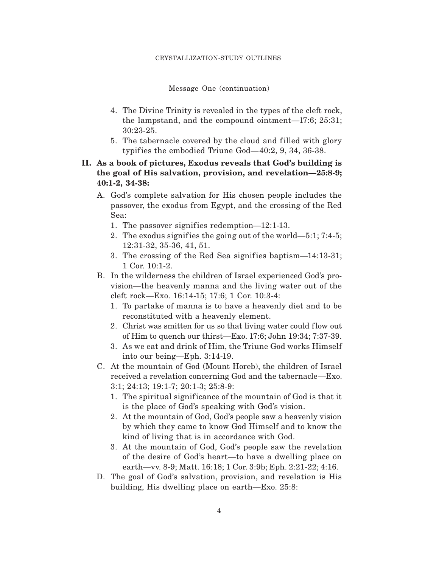### Message One (continuation)

- 4. The Divine Trinity is revealed in the types of the cleft rock, the lampstand, and the compound ointment—17:6; 25:31; 30:23-25.
- 5. The tabernacle covered by the cloud and filled with glory typif ies the embodied Triune God—40:2, 9, 34, 36-38.

# **II. As a book of pictures, Exodus reveals that God's building is the goal of His salvation, provision, and revelation—25:8-9; 40:1-2, 34-38:**

- A. God's complete salvation for His chosen people includes the passover, the exodus from Egypt, and the crossing of the Red Sea:
	- 1. The passover signifies redemption—12:1-13.
	- 2. The exodus signifies the going out of the world—5:1; 7:4-5; 12:31-32, 35-36, 41, 51.
	- 3. The crossing of the Red Sea signifies baptism—14:13-31; 1 Cor. 10:1-2.
- B. In the wilderness the children of Israel experienced God's provision—the heavenly manna and the living water out of the cleft rock—Exo. 16:14-15; 17:6; 1 Cor. 10:3-4:
	- 1. To partake of manna is to have a heavenly diet and to be reconstituted with a heavenly element.
	- 2. Christ was smitten for us so that living water could flow out of Him to quench our thirst—Exo. 17:6; John 19:34; 7:37-39.
	- 3. As we eat and drink of Him, the Triune God works Himself into our being—Eph. 3:14-19.
- C. At the mountain of God (Mount Horeb), the children of Israel received a revelation concerning God and the tabernacle—Exo. 3:1; 24:13; 19:1-7; 20:1-3; 25:8-9:
	- 1. The spiritual signif icance of the mountain of God is that it is the place of God's speaking with God's vision.
	- 2. At the mountain of God, God's people saw a heavenly vision by which they came to know God Himself and to know the kind of living that is in accordance with God.
	- 3. At the mountain of God, God's people saw the revelation of the desire of God's heart—to have a dwelling place on earth—vv. 8-9; Matt. 16:18; 1 Cor. 3:9b; Eph. 2:21-22; 4:16.
- D. The goal of God's salvation, provision, and revelation is His building, His dwelling place on earth—Exo. 25:8: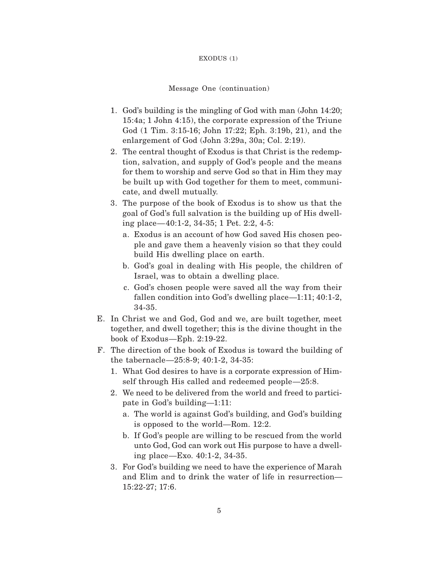#### EXODUS (1)

### Message One (continuation)

- 1. God's building is the mingling of God with man (John 14:20; 15:4a; 1 John 4:15), the corporate expression of the Triune God (1 Tim. 3:15-16; John 17:22; Eph. 3:19b, 21), and the enlargement of God (John 3:29a, 30a; Col. 2:19).
- 2. The central thought of Exodus is that Christ is the redemption, salvation, and supply of God's people and the means for them to worship and serve God so that in Him they may be built up with God together for them to meet, communicate, and dwell mutually.
- 3. The purpose of the book of Exodus is to show us that the goal of God's full salvation is the building up of His dwelling place—40:1-2, 34-35; 1 Pet. 2:2, 4-5:
	- a. Exodus is an account of how God saved His chosen people and gave them a heavenly vision so that they could build His dwelling place on earth.
	- b. God's goal in dealing with His people, the children of Israel, was to obtain a dwelling place.
	- c. God's chosen people were saved all the way from their fallen condition into God's dwelling place—1:11; 40:1-2, 34-35.
- E. In Christ we and God, God and we, are built together, meet together, and dwell together; this is the divine thought in the book of Exodus—Eph. 2:19-22.
- F. The direction of the book of Exodus is toward the building of the tabernacle—25:8-9; 40:1-2, 34-35:
	- 1. What God desires to have is a corporate expression of Himself through His called and redeemed people—25:8.
	- 2. We need to be delivered from the world and freed to participate in God's building—1:11:
		- a. The world is against God's building, and God's building is opposed to the world—Rom. 12:2.
		- b. If God's people are willing to be rescued from the world unto God, God can work out His purpose to have a dwelling place—Exo. 40:1-2, 34-35.
	- 3. For God's building we need to have the experience of Marah and Elim and to drink the water of life in resurrection— 15:22-27; 17:6.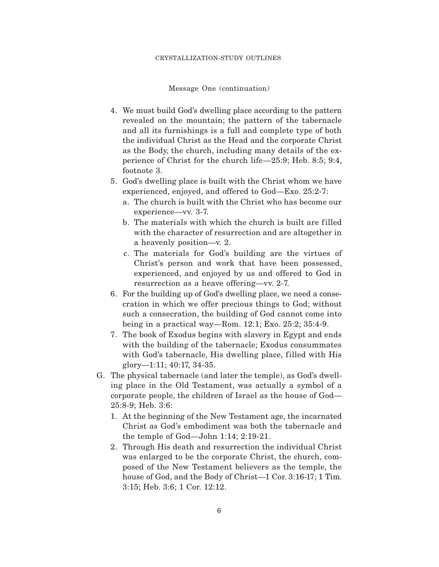Message One (continuation)

- 4. We must build God's dwelling place according to the pattern revealed on the mountain; the pattern of the tabernacle and all its furnishings is a full and complete type of both the individual Christ as the Head and the corporate Christ as the Body, the church, including many details of the experience of Christ for the church life—25:9; Heb. 8:5; 9:4, footnote 3.
- 5. God's dwelling place is built with the Christ whom we have experienced, enjoyed, and offered to God—Exo. 25:2-7:
	- a. The church is built with the Christ who has become our experience—vv. 3-7.
	- b. The materials with which the church is built are filled with the character of resurrection and are altogether in a heavenly position—v. 2.
	- c. The materials for God's building are the virtues of Christ's person and work that have been possessed, experienced, and enjoyed by us and offered to God in resurrection as a heave offering—vv. 2-7.
- 6. For the building up of God's dwelling place, we need a consecration in which we offer precious things to God; without such a consecration, the building of God cannot come into being in a practical way—Rom. 12:1; Exo. 25:2; 35:4-9.
- 7. The book of Exodus begins with slavery in Egypt and ends with the building of the tabernacle; Exodus consummates with God's tabernacle, His dwelling place, filled with His glory—1:11; 40:17, 34-35.
- G. The physical tabernacle (and later the temple), as God's dwelling place in the Old Testament, was actually a symbol of a corporate people, the children of Israel as the house of God— 25:8-9; Heb. 3:6:
	- 1. At the beginning of the New Testament age, the incarnated Christ as God's embodiment was both the tabernacle and the temple of God—John 1:14; 2:19-21.
	- 2. Through His death and resurrection the individual Christ was enlarged to be the corporate Christ, the church, composed of the New Testament believers as the temple, the house of God, and the Body of Christ—1 Cor. 3:16-17; 1 Tim. 3:15; Heb. 3:6; 1 Cor. 12:12.